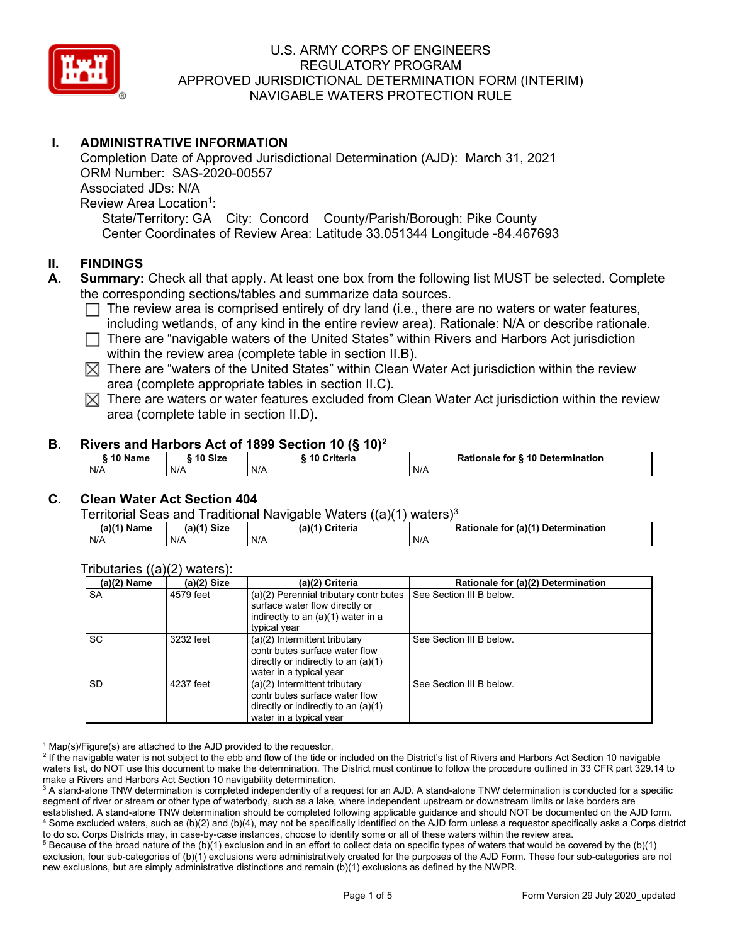

# **I. ADMINISTRATIVE INFORMATION**

 ORM Number: SAS-2020-00557 State/Territory: GA City: Concord County/Parish/Borough: Pike County Completion Date of Approved Jurisdictional Determination (AJD): March 31, 2021 Associated JDs: N/A Review Area Location<sup>1</sup>: Center Coordinates of Review Area: Latitude 33.051344 Longitude -84.467693

#### **II. FINDINGS**

- **A. Summary:** Check all that apply. At least one box from the following list MUST be selected. Complete the corresponding sections/tables and summarize data sources.
	- The review area is comprised entirely of dry land (i.e., there are no waters or water features, including wetlands, of any kind in the entire review area). Rationale: N/A or describe rationale.
	- $\Box$  There are "navigable waters of the United States" within Rivers and Harbors Act jurisdiction within the review area (complete table in section II.B).
	- $\boxtimes$  There are "waters of the United States" within Clean Water Act jurisdiction within the review area (complete appropriate tables in section II.C).
	- $\boxtimes$  There are waters or water features excluded from Clean Water Act jurisdiction within the review area (complete table in section II.D).

#### **B. Rivers and Harbors Act of 1899 Section 10 (§ 10)2**

| <b>S10 Name</b> | ົ <sup>1</sup> 0 Size | Criteria | Rationale for § 10 Determination |
|-----------------|-----------------------|----------|----------------------------------|
| N/A             | N/A                   | N/A      | N/A                              |

# **C. Clean Water Act Section 404**

#### Territorial Seas and Traditional Navigable Waters  $((a)(1)$  waters)<sup>3</sup>

| Name | $(a)$ $(4)$<br><b>Size</b> | (a)<br>Critorio<br>Uriteria | (a)(1) Determination<br>tor<br>tionale |
|------|----------------------------|-----------------------------|----------------------------------------|
| N/A  | N/A                        | N/A                         | N/A                                    |

#### contr butes surface water flow contr butes surface water flow (a)(2) Name (a)(2) Size (a)(2) Criteria Rationale for (a)(2) Determination  $\parallel$  water in a typical year and the contract of the state of the state of the state of the state of the state of the state of the state of the state of the state of the state of the state of the state of the state of the state Tributaries  $((a)(2)$  waters):<br>(a)(2) Name | (a)(2) Size SA 4579 feet (a)(2) Perennial tributary contr butes surface water flow directly or indirectly to an (a)(1) water in a typical year See Section III B below. SC 3232 feet (a)(2) Intermittent tributary directly or indirectly to an (a)(1) water in a typical year See Section III B below. SD 4237 feet (a)(2) Intermittent tributary directly or indirectly to an (a)(1) water in a typical year See Section III B below.

 $1$  Map(s)/Figure(s) are attached to the AJD provided to the requestor.

<sup>2</sup> If the navigable water is not subject to the ebb and flow of the tide or included on the District's list of Rivers and Harbors Act Section 10 navigable waters list, do NOT use this document to make the determination. The District must continue to follow the procedure outlined in 33 CFR part 329.14 to make a Rivers and Harbors Act Section 10 navigability determination.

 $^3$  A stand-alone TNW determination is completed independently of a request for an AJD. A stand-alone TNW determination is conducted for a specific established. A stand-alone TNW determination should be completed following applicable guidance and should NOT be documented on the AJD form.<br><sup>4</sup> Some excluded waters, such as (b)(2) and (b)(4), may not be specifically iden segment of river or stream or other type of waterbody, such as a lake, where independent upstream or downstream limits or lake borders are<br>established. A stand-alone TNW determination should be completed following applicab

to do so. Corps Districts may, in case-by-case instances, choose to identify some or all of these waters within the review area.<br><sup>5</sup> Because of the broad nature of the (b)(1) exclusion and in an effort to collect data on s exclusion, four sub-categories of (b)(1) exclusions were administratively created for the purposes of the AJD Form. These four sub-categories are not new exclusions, but are simply administrative distinctions and remain (b)(1) exclusions as defined by the NWPR.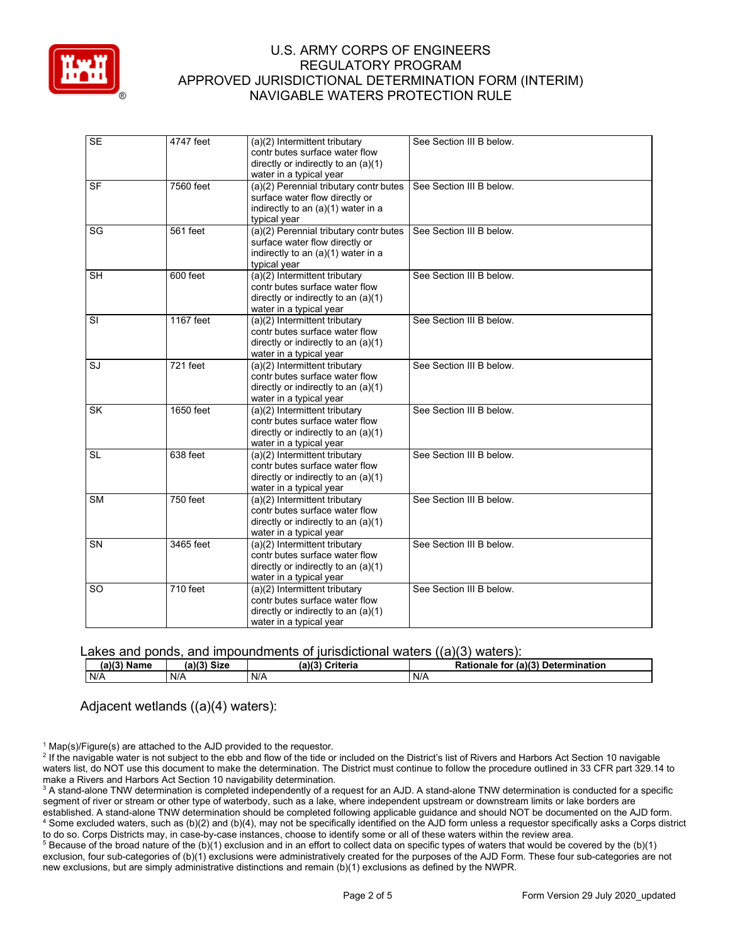

| <b>SE</b>               | 4747 feet  | (a)(2) Intermittent tributary<br>contr butes surface water flow<br>directly or indirectly to an (a)(1)<br>water in a typical year   | See Section III B below. |
|-------------------------|------------|-------------------------------------------------------------------------------------------------------------------------------------|--------------------------|
| <b>SF</b>               | 7560 feet  | (a)(2) Perennial tributary contr butes<br>surface water flow directly or<br>indirectly to an (a)(1) water in a<br>typical year      | See Section III B below. |
| SG                      | 561 feet   | (a)(2) Perennial tributary contr butes<br>surface water flow directly or<br>indirectly to an (a)(1) water in a<br>typical year      | See Section III B below. |
| <b>SH</b>               | 600 feet   | (a)(2) Intermittent tributary<br>contr butes surface water flow<br>directly or indirectly to an (a)(1)<br>water in a typical year   | See Section III B below. |
| $\overline{\mathsf{S}}$ | 1167 feet  | (a)(2) Intermittent tributary<br>contr butes surface water flow<br>directly or indirectly to an (a)(1)<br>water in a typical year   | See Section III B below. |
| SJ                      | 721 feet   | (a)(2) Intermittent tributary<br>contr butes surface water flow<br>directly or indirectly to an $(a)(1)$<br>water in a typical year | See Section III B below. |
| <b>SK</b>               | 1650 feet  | (a)(2) Intermittent tributary<br>contr butes surface water flow<br>directly or indirectly to an $(a)(1)$<br>water in a typical year | See Section III B below. |
| <b>SL</b>               | 638 feet   | (a)(2) Intermittent tributary<br>contr butes surface water flow<br>directly or indirectly to an $(a)(1)$<br>water in a typical year | See Section III B below. |
| $\overline{\text{SM}}$  | $750$ feet | (a)(2) Intermittent tributary<br>contr butes surface water flow<br>directly or indirectly to an $(a)(1)$<br>water in a typical year | See Section III B below. |
| <b>SN</b>               | 3465 feet  | (a)(2) Intermittent tributary<br>contr butes surface water flow<br>directly or indirectly to an (a)(1)<br>water in a typical year   | See Section III B below. |
| SO                      | 710 feet   | (a)(2) Intermittent tributary<br>contr butes surface water flow<br>directly or indirectly to an (a)(1)<br>water in a typical year   | See Section III B below. |

| Lakes and ponds, and impoundments of jurisdictional waters $((a)(3)$ waters): |               |                 |                                    |
|-------------------------------------------------------------------------------|---------------|-----------------|------------------------------------|
| $(a)(3)$ Name                                                                 | $(a)(3)$ Size | (a)(3) Criteria | Rationale for (a)(3) Determination |
| N/A                                                                           | N/A           | N/A             | N/A                                |
|                                                                               |               |                 |                                    |

Adjacent wetlands ((a)(4) waters):

 $1$  Map(s)/Figure(s) are attached to the AJD provided to the requestor.

<sup>2</sup> If the navigable water is not subject to the ebb and flow of the tide or included on the District's list of Rivers and Harbors Act Section 10 navigable waters list, do NOT use this document to make the determination. The District must continue to follow the procedure outlined in 33 CFR part 329.14 to make a Rivers and Harbors Act Section 10 navigability determination.

 $^3$  A stand-alone TNW determination is completed independently of a request for an AJD. A stand-alone TNW determination is conducted for a specific established. A stand-alone TNW determination should be completed following applicable guidance and should NOT be documented on the AJD form.<br><sup>4</sup> Some excluded waters, such as (b)(2) and (b)(4), may not be specifically iden segment of river or stream or other type of waterbody, such as a lake, where independent upstream or downstream limits or lake borders are<br>established. A stand-alone TNW determination should be completed following applicab

to do so. Corps Districts may, in case-by-case instances, choose to identify some or all of these waters within the review area.<br><sup>5</sup> Because of the broad nature of the (b)(1) exclusion and in an effort to collect data on s exclusion, four sub-categories of (b)(1) exclusions were administratively created for the purposes of the AJD Form. These four sub-categories are not new exclusions, but are simply administrative distinctions and remain (b)(1) exclusions as defined by the NWPR.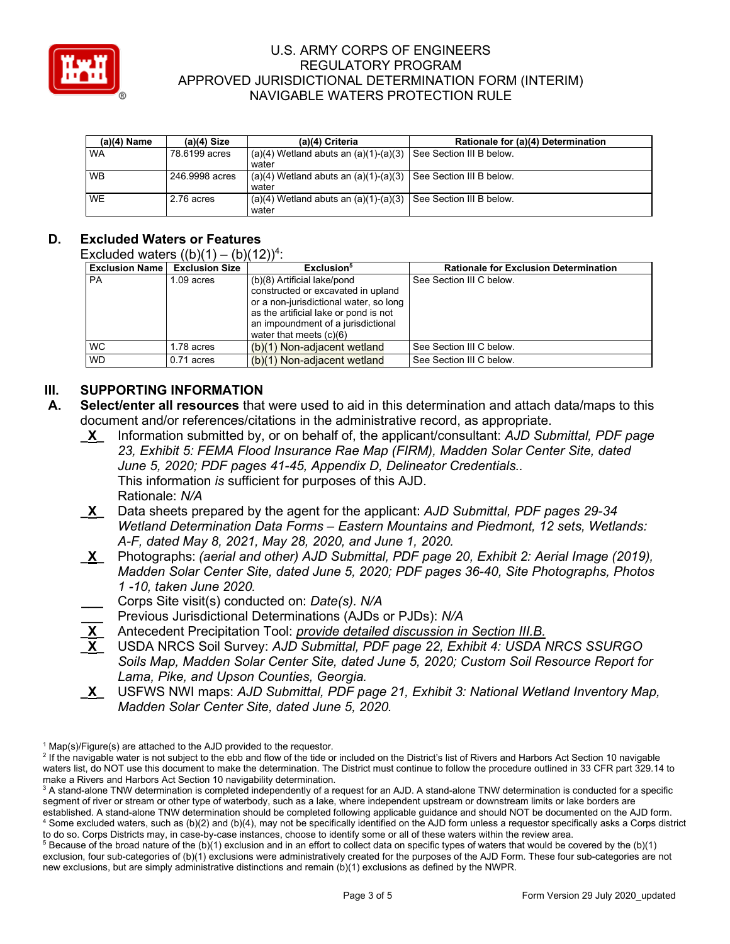

| $(a)(4)$ Name | $(a)(4)$ Size  | (a)(4) Criteria                                                             | Rationale for (a)(4) Determination |
|---------------|----------------|-----------------------------------------------------------------------------|------------------------------------|
| <b>WA</b>     | 78,6199 acres  | $(a)(4)$ Wetland abuts an $(a)(1)-(a)(3)$<br>water                          | See Section III B below.           |
| <b>WB</b>     | 246.9998 acres | $(a)(4)$ Wetland abuts an $(a)(1)-(a)(3)$ See Section III B below.<br>water |                                    |
| <b>WE</b>     | 2.76 acres     | $(a)(4)$ Wetland abuts an $(a)(1)-(a)(3)$<br>water                          | See Section III B below.           |

# **D. Excluded Waters or Features**

#### Excluded waters  $((b)(1) - (b)(12))^4$ :

| <b>Exclusion Name</b> | <b>Exclusion Size</b> | Exclusion <sup>5</sup>                                                                                                                                                                                                  | <b>Rationale for Exclusion Determination</b> |
|-----------------------|-----------------------|-------------------------------------------------------------------------------------------------------------------------------------------------------------------------------------------------------------------------|----------------------------------------------|
| <b>PA</b>             | 1.09 acres            | (b)(8) Artificial lake/pond<br>constructed or excavated in upland<br>or a non-jurisdictional water, so long<br>as the artificial lake or pond is not<br>an impoundment of a jurisdictional<br>water that meets $(c)(6)$ | See Section III C below.                     |
| <b>WC</b>             | 1.78 acres            | $(b)(1)$ Non-adjacent wetland                                                                                                                                                                                           | See Section III C below.                     |
| <b>WD</b>             | $0.71$ acres          | $(b)(1)$ Non-adjacent wetland                                                                                                                                                                                           | See Section III C below.                     |

# **III. SUPPORTING INFORMATION**

- **A. Select/enter all resources** that were used to aid in this determination and attach data/maps to this document and/or references/citations in the administrative record, as appropriate.
	- **\_X\_** Information submitted by, or on behalf of, the applicant/consultant: *AJD Submittal, PDF page 23, Exhibit 5: FEMA Flood Insurance Rae Map (FIRM), Madden Solar Center Site, dated June 5, 2020; PDF pages 41-45, Appendix D, Delineator Credentials..*  This information *is* sufficient for purposes of this AJD. Rationale: *N/A*
	- **\_X\_** Data sheets prepared by the agent for the applicant: *AJD Submittal, PDF pages 29-34 Wetland Determination Data Forms – Eastern Mountains and Piedmont, 12 sets, Wetlands: A-F, dated May 8, 2021, May 28, 2020, and June 1, 2020.*
	- **\_X\_** Photographs: *(aerial and other) AJD Submittal, PDF page 20, Exhibit 2: Aerial Image (2019), Madden Solar Center Site, dated June 5, 2020; PDF pages 36-40, Site Photographs, Photos 1 -10, taken June 2020.*
	- **\_\_\_** Corps Site visit(s) conducted on: *Date(s). N/A*
	- **\_\_\_** Previous Jurisdictional Determinations (AJDs or PJDs): *N/A*
	- **\_X\_** Antecedent Precipitation Tool: *provide detailed discussion in Section III.B.*
	- *Soils Map, Madden Solar Center Site, dated June 5, 2020; Custom Soil Resource Report for Lama, Pike, and Upson Counties, Georgia.*  **\_X\_** USDA NRCS Soil Survey: *AJD Submittal, PDF page 22, Exhibit 4: USDA NRCS SSURGO*
	- **\_X\_** USFWS NWI maps: *AJD Submittal, PDF page 21, Exhibit 3: National Wetland Inventory Map, Madden Solar Center Site, dated June 5, 2020.*

 $1$  Map(s)/Figure(s) are attached to the AJD provided to the requestor.

<sup>&</sup>lt;sup>2</sup> If the navigable water is not subject to the ebb and flow of the tide or included on the District's list of Rivers and Harbors Act Section 10 navigable waters list, do NOT use this document to make the determination. The District must continue to follow the procedure outlined in 33 CFR part 329.14 to make a Rivers and Harbors Act Section 10 navigability determination.

 $^3$  A stand-alone TNW determination is completed independently of a request for an AJD. A stand-alone TNW determination is conducted for a specific established. A stand-alone TNW determination should be completed following applicable guidance and should NOT be documented on the AJD form.<br><sup>4</sup> Some excluded waters, such as (b)(2) and (b)(4), may not be specifically iden segment of river or stream or other type of waterbody, such as a lake, where independent upstream or downstream limits or lake borders are<br>established. A stand-alone TNW determination should be completed following applicab

to do so. Corps Districts may, in case-by-case instances, choose to identify some or all of these waters within the review area.<br><sup>5</sup> Because of the broad nature of the (b)(1) exclusion and in an effort to collect data on s exclusion, four sub-categories of (b)(1) exclusions were administratively created for the purposes of the AJD Form. These four sub-categories are not new exclusions, but are simply administrative distinctions and remain (b)(1) exclusions as defined by the NWPR.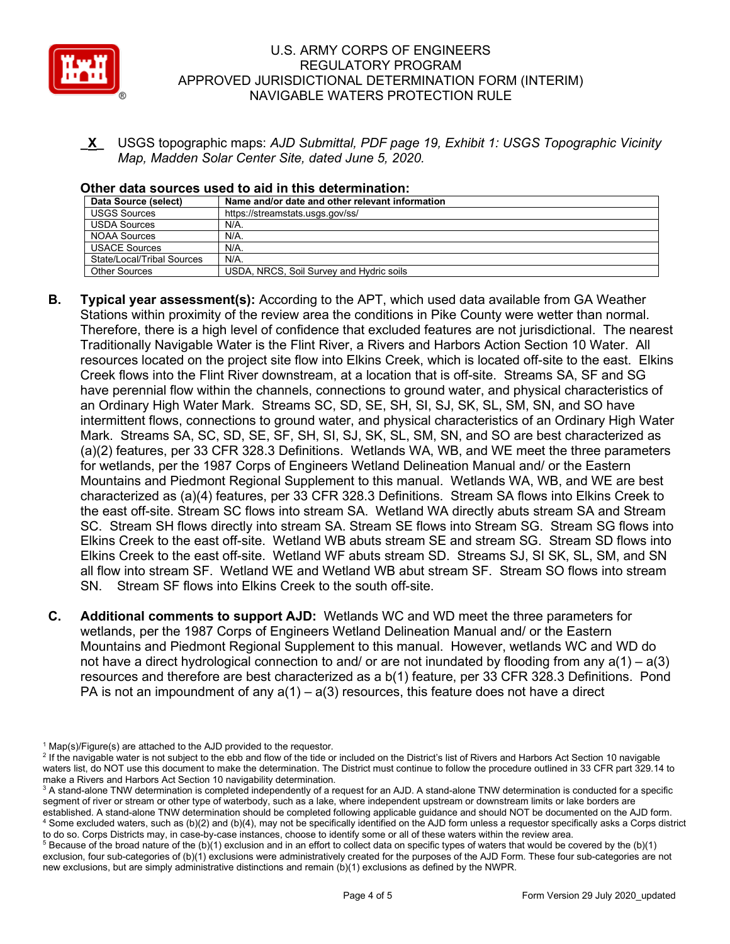

- **\_X\_** USGS topographic maps: *AJD Submittal, PDF page 19, Exhibit 1: USGS Topographic Vicinity Map, Madden Solar Center Site, dated June 5, 2020.* 

| ONIGI UULU SUULUGS USGU LU UIU III LIIIS UGLGITIIIIIULIUII. |                                                 |  |
|-------------------------------------------------------------|-------------------------------------------------|--|
| Data Source (select)                                        | Name and/or date and other relevant information |  |
| <b>USGS Sources</b>                                         | https://streamstats.usgs.gov/ss/                |  |
| <b>USDA Sources</b>                                         | $N/A$ .                                         |  |
| <b>NOAA Sources</b>                                         | $N/A$ .                                         |  |
| <b>USACE Sources</b>                                        | N/A.                                            |  |
| State/Local/Tribal Sources                                  | $N/A$ .                                         |  |
| Other Sources                                               | USDA, NRCS, Soil Survey and Hydric soils        |  |
|                                                             |                                                 |  |

#### **Other data sources used to aid in this determination:**

- Stations within proximity of the review area the conditions in Pike County were wetter than normal. Creek flows into the Flint River downstream, at a location that is off-site. Streams SA, SF and SG have perennial flow within the channels, connections to ground water, and physical characteristics of Mark. Streams SA, SC, SD, SE, SF, SH, SI, SJ, SK, SL, SM, SN, and SO are best characterized as (a)(2) features, per 33 CFR 328.3 Definitions. Wetlands WA, WB, and WE meet the three parameters Mountains and Piedmont Regional Supplement to this manual. Wetlands WA, WB, and WE are best the east off-site. Stream SC flows into stream SA. Wetland WA directly abuts stream SA and Stream SC. Stream SH flows directly into stream SA. Stream SE flows into Stream SG. Stream SG flows into Elkins Creek to the east off-site. Wetland WF abuts stream SD. Streams SJ, SI SK, SL, SM, and SN all flow into stream SF. Wetland WE and Wetland WB abut stream SF. Stream SO flows into stream SN. Stream SF flows into Elkins Creek to the south off-site. **B. Typical year assessment(s):** According to the APT, which used data available from GA Weather Therefore, there is a high level of confidence that excluded features are not jurisdictional. The nearest Traditionally Navigable Water is the Flint River, a Rivers and Harbors Action Section 10 Water. All resources located on the project site flow into Elkins Creek, which is located off-site to the east. Elkins an Ordinary High Water Mark. Streams SC, SD, SE, SH, SI, SJ, SK, SL, SM, SN, and SO have intermittent flows, connections to ground water, and physical characteristics of an Ordinary High Water for wetlands, per the 1987 Corps of Engineers Wetland Delineation Manual and/ or the Eastern characterized as (a)(4) features, per 33 CFR 328.3 Definitions. Stream SA flows into Elkins Creek to Elkins Creek to the east off-site. Wetland WB abuts stream SE and stream SG. Stream SD flows into
- **C. Additional comments to support AJD:** Wetlands WC and WD meet the three parameters for Mountains and Piedmont Regional Supplement to this manual. However, wetlands WC and WD do not have a direct hydrological connection to and/ or are not inundated by flooding from any a(1) – a(3) wetlands, per the 1987 Corps of Engineers Wetland Delineation Manual and/ or the Eastern resources and therefore are best characterized as a b(1) feature, per 33 CFR 328.3 Definitions. Pond PA is not an impoundment of any  $a(1) - a(3)$  resources, this feature does not have a direct

 $1$  Map(s)/Figure(s) are attached to the AJD provided to the requestor.

<sup>&</sup>lt;sup>2</sup> If the navigable water is not subject to the ebb and flow of the tide or included on the District's list of Rivers and Harbors Act Section 10 navigable waters list, do NOT use this document to make the determination. The District must continue to follow the procedure outlined in 33 CFR part 329.14 to make a Rivers and Harbors Act Section 10 navigability determination.

 $^3$  A stand-alone TNW determination is completed independently of a request for an AJD. A stand-alone TNW determination is conducted for a specific established. A stand-alone TNW determination should be completed following applicable guidance and should NOT be documented on the AJD form.<br><sup>4</sup> Some excluded waters, such as (b)(2) and (b)(4), may not be specifically iden segment of river or stream or other type of waterbody, such as a lake, where independent upstream or downstream limits or lake borders are<br>established. A stand-alone TNW determination should be completed following applicab

to do so. Corps Districts may, in case-by-case instances, choose to identify some or all of these waters within the review area.<br><sup>5</sup> Because of the broad nature of the (b)(1) exclusion and in an effort to collect data on s exclusion, four sub-categories of (b)(1) exclusions were administratively created for the purposes of the AJD Form. These four sub-categories are not new exclusions, but are simply administrative distinctions and remain (b)(1) exclusions as defined by the NWPR.